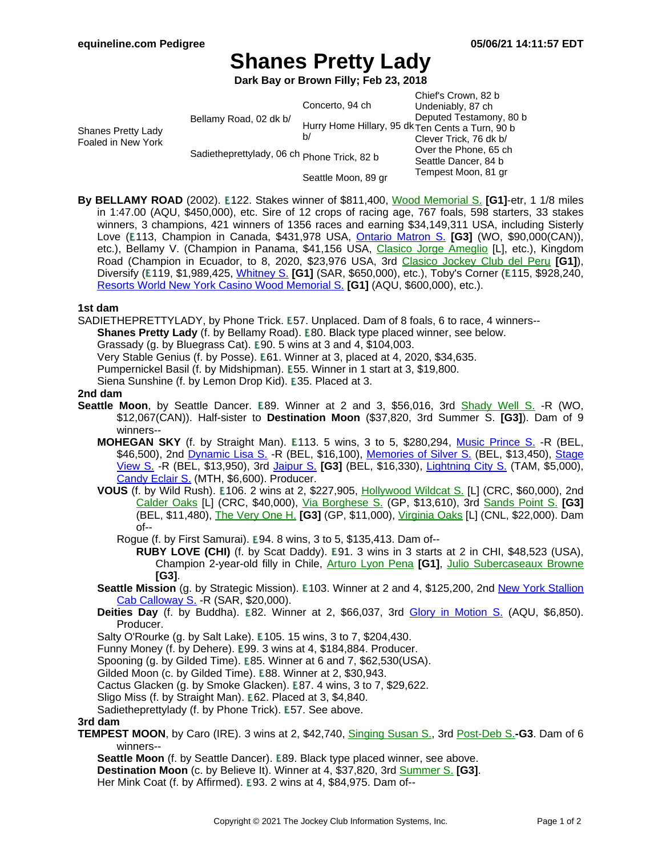# **Shanes Pretty Lady**

**Dark Bay or Brown Filly; Feb 23, 2018**

| Shanes Pretty Lady<br>Foaled in New York | Bellamy Road, 02 dk b/<br>Sadietheprettylady, 06 ch Phone Trick, 82 b | Concerto, 94 ch<br>b/ | Chief's Crown, 82 b<br>Undeniably, 87 ch<br>Deputed Testamony, 80 b<br>Hurry Home Hillary, 95 dk Ten Cents a Turn, 90 b<br>Clever Trick, 76 dk b/<br>Over the Phone, 65 ch<br>Seattle Dancer, 84 b<br>Tempest Moon, 81 gr |
|------------------------------------------|-----------------------------------------------------------------------|-----------------------|---------------------------------------------------------------------------------------------------------------------------------------------------------------------------------------------------------------------------|
|                                          |                                                                       | Seattle Moon, 89 gr   |                                                                                                                                                                                                                           |

**By BELLAMY ROAD** (2002). **E122.** Stakes winner of \$811,400, Wood [Memorial](https://www.equineline.com/dotVideoChart.cfm?track=AQU&country=USA&race_date=2005-04-09&refno=6506673®istry=T&race_name=Wood+Memorial+S.&race_number=9&day_evening=D&product_reference_number=40PA) S. [G1]-etr, 1 1/8 miles in 1:47.00 (AQU, \$450,000), etc. Sire of 12 crops of racing age, 767 foals, 598 starters, 33 stakes winners, 3 champions, 421 winners of 1356 races and earning \$34,149,311 USA, including Sisterly Love (E113, Champion in Canada, \$431,978 USA, **Ontario [Matron](https://www.equineline.com/dotVideoChart.cfm?track=WO+&country=CAN&race_date=2013-07-20&raceid=mp4:2013/1308/201307201626WOT8_1308.f4v&refno=8341830®istry=T&race_name=Ontario+Matron+S.&race_number=8&day_evening=D&product_reference_number=40PA) S. [G3]** (WO, \$90,000(CAN)), etc.), Bellamy V. (Champion in Panama, \$41,156 USA, Clasico Jorge [Ameglio](https://www.equineline.com/dotVideoChart.cfm?track=CPR&country=PAN&race_date=2016-12-18&refno=9650561®istry=T&race_name=Clasico+Jorge+Ameglio&race_number=7&day_evening=D&product_reference_number=40PA) [L], etc.), Kingdom Road (Champion in Ecuador, to 8, 2020, \$23,976 USA, 3rd Clasico [Jockey](https://www.equineline.com/dotVideoChart.cfm?track=MON&country=PER&race_date=2016-06-26&refno=9491969®istry=T&race_name=Clasico+Jockey+Club+del+Peru&race_number=985&day_evening=D&product_reference_number=40PA) Club del Peru **[G1]**), Diversify (E119, \$1,989,425, [Whitney](https://www.equineline.com/dotVideoChart.cfm?track=SAR&country=USA&race_date=2018-08-04&raceid=mp4:2018/1308/201808041746STD9_1308.mp4&refno=9479042®istry=T&race_name=Whitney+S.&race_number=9&day_evening=D&product_reference_number=40PA) S. **[G1]** (SAR, \$650,000), etc.), Toby's Corner (E115, \$928,240, Resorts World New York Casino Wood [Memorial](https://www.equineline.com/dotVideoChart.cfm?track=AQU&country=USA&race_date=2011-04-09&raceid=mp4:2011/1308/201104091748AQD10_1308.f4v&refno=8332442®istry=T&race_name=Resorts+World+New+York+Casino+Wood+Memorial+S.&race_number=10&day_evening=D&product_reference_number=40PA) S. **[G1]** (AQU, \$600,000), etc.).

### **1st dam**

SADIETHEPRETTYLADY, by Phone Trick. E57. Unplaced. Dam of 8 foals, 6 to race, 4 winners--

**Shanes Pretty Lady** (f. by Bellamy Road). E80. Black type placed winner, see below.

Grassady (g. by Bluegrass Cat).  $E90.5$  wins at 3 and 4, \$104,003.

Very Stable Genius (f. by Posse). E61. Winner at 3, placed at 4, 2020, \$34,635.

Pumpernickel Basil (f. by Midshipman). E55. Winner in 1 start at 3, \$19,800.

Siena Sunshine (f. by Lemon Drop Kid). E35. Placed at 3.

#### **2nd dam**

- **Seattle Moon**, by Seattle Dancer. E89. Winner at 2 and 3, \$56,016, 3rd Shady Well S. [-R \(WO](https://www.equineline.com/dotVideoChart.cfm?track=WO+&country=CAN&race_date=1991-06-29&refno=1251006®istry=T&race_name=Shady+Well+S.&race_number=9&day_evening=D&product_reference_number=40PA), \$12,067(CAN)). Half-sister to **Destination Moon** (\$37,820, 3rd Summer S. **[G3]**). Dam of 9 winners--
	- **MOHEGAN SKY** (f. by Straight Man). **E113. 5 wins, 3 to 5, \$280,294, Music [Prince](https://www.equineline.com/dotVideoChart.cfm?track=BEL&country=USA&race_date=2008-05-03&raceid=mp4:2008/400/200805031618BED7_400.f4v&refno=6885818®istry=T&race_name=Music+Prince+S.&race_number=7&day_evening=D&product_reference_number=40PA) S.** -R (BEL, \$46,500), 2nd [Dynamic](https://www.equineline.com/dotVideoChart.cfm?track=BEL&country=USA&race_date=2008-06-05&raceid=mp4:2008/1308/200806051640BED8_1308.f4v&refno=6885818®istry=T&race_name=Dynamic+Lisa+S.&race_number=8&day_evening=D&product_reference_number=40PA) Lisa S. -R (BEL, \$16,100), [Memories](https://www.equineline.com/dotVideoChart.cfm?track=BEL&country=USA&race_date=2009-10-08&raceid=mp4:2009/1308/200910081402BED3_1308.f4v&refno=6885818®istry=T&race_name=Memories+of+Silver+S.&race_number=3&day_evening=D&product_reference_number=40PA) of Silver S. (BEL, \$13,450), S[tage](https://www.equineline.com/dotVideoChart.cfm?track=BEL&country=USA&race_date=2007-06-27&raceid=mp4:2007/300/200706271641BED8_300.f4v&refno=6885818®istry=T&race_name=Stage+View+S.&race_number=8&day_evening=D&product_reference_number=40PA) [View](https://www.equineline.com/dotVideoChart.cfm?track=BEL&country=USA&race_date=2007-06-27&raceid=mp4:2007/300/200706271641BED8_300.f4v&refno=6885818®istry=T&race_name=Stage+View+S.&race_number=8&day_evening=D&product_reference_number=40PA) S. -R (BEL, \$13,950), 3rd J[aipur](https://www.equineline.com/dotVideoChart.cfm?track=BEL&country=USA&race_date=2008-06-15&raceid=mp4:2008/1308/200806151710BED9_1308.f4v&refno=6885818®istry=T&race_name=Jaipur+S.&race_number=9&day_evening=D&product_reference_number=40PA) S. **[G3]** (BEL, \$16,330), Li[ghtning](https://www.equineline.com/dotVideoChart.cfm?track=TAM&country=USA&race_date=2007-05-05&raceid=mp4:2007/300/200705051452TAM7_300.f4v&refno=6885818®istry=T&race_name=Lightning+City+S.&race_number=7&day_evening=D&product_reference_number=40PA) City S. (TAM, \$5,000), [Candy](https://www.equineline.com/dotVideoChart.cfm?track=MTH&country=USA&race_date=2007-06-03&raceid=mp4:2007/300/200706031612MTD8_300.f4v&refno=6885818®istry=T&race_name=Candy+Eclair+S.&race_number=8&day_evening=D&product_reference_number=40PA) Eclair S. (MTH, \$6,600). Producer.
	- **VOUS** (f. by Wild Rush). **E106. 2 wins at 2, \$227,905**, [Hollywood](https://www.equineline.com/dotVideoChart.cfm?track=CRC&country=USA&race_date=2003-11-29&refno=6171581®istry=T&race_name=Hollywood+Wildcat+S.&race_number=8&day_evening=D&product_reference_number=40PA) Wildcat S. [L] (CRC, \$60,000), 2nd [Calder](https://www.equineline.com/dotVideoChart.cfm?track=CRC&country=USA&race_date=2004-10-23&refno=6171581®istry=T&race_name=Calder+Oaks&race_number=7&day_evening=D&product_reference_number=40PA) Oaks [L] (CRC, \$40,000), Via [Borghese](https://www.equineline.com/dotVideoChart.cfm?track=GP+&country=USA&race_date=2004-03-21&refno=6171581®istry=T&race_name=Via+Borghese+S.&race_number=8&day_evening=D&product_reference_number=40PA) S. (GP, \$13,610), 3rd Sands [Point](https://www.equineline.com/dotVideoChart.cfm?track=BEL&country=USA&race_date=2004-06-13&refno=6171581®istry=T&race_name=Sands+Point+S.&race_number=8&day_evening=D&product_reference_number=40PA) S. **[G3]** (BEL, \$11,480), The [Very](https://www.equineline.com/dotVideoChart.cfm?track=GP+&country=USA&race_date=2005-03-06&refno=6171581®istry=T&race_name=The+Very+One+H.&race_number=8&day_evening=D&product_reference_number=40PA) One H. **[G3]** (GP, \$11,000), [Virginia](https://www.equineline.com/dotVideoChart.cfm?track=CNL&country=USA&race_date=2004-07-10&refno=6171581®istry=T&race_name=Virginia+Oaks&race_number=7&day_evening=D&product_reference_number=40PA) Oaks [L] (CNL, \$22,000). Dam of--
		- Rogue (f. by First Samurai). E94. 8 wins, 3 to 5, \$135,413. Dam of--
			- **RUBY LOVE (CHI)** (f. by Scat Daddy). E91. 3 wins in 3 starts at 2 in CHI, \$48,523 (USA), Champion 2-year-old filly in Chile, Arturo Lyon [Pena](https://www.equineline.com/dotVideoChart.cfm?track=CHS&country=CHI&race_date=2017-06-25&refno=10094012®istry=T&race_name=Arturo+Lyon+Pena&race_number=8&day_evening=D&product_reference_number=40PA) **[G1]**, Julio [Subercaseaux](https://www.equineline.com/dotVideoChart.cfm?track=CHS&country=CHI&race_date=2017-05-05&refno=10094012®istry=T&race_name=Julio+Subercaseaux+Browne&race_number=8&day_evening=D&product_reference_number=40PA) Browne **[G3]**.
	- Seattle Mission (g. by Strategic Mission). E103. Winner at 2 and 4, \$125,200, 2nd New York [Stallion](https://www.equineline.com/dotVideoChart.cfm?track=SAR&country=USA&race_date=2010-08-11&raceid=mp4:2010/1308/201008111514STD5_1308.f4v&refno=8048328®istry=T&race_name=New+York+Stallion+Cab+Calloway+S.&race_number=5&day_evening=D&product_reference_number=40PA) Cab [Calloway](https://www.equineline.com/dotVideoChart.cfm?track=SAR&country=USA&race_date=2010-08-11&raceid=mp4:2010/1308/201008111514STD5_1308.f4v&refno=8048328®istry=T&race_name=New+York+Stallion+Cab+Calloway+S.&race_number=5&day_evening=D&product_reference_number=40PA) S. -R (SAR, \$20,000).
	- **Deities Day** (f. by Buddha). E82. Winner at 2, \$66,037, 3rd Glory in [Motion](https://www.equineline.com/dotVideoChart.cfm?track=AQU&country=USA&race_date=2008-02-03&raceid=mp4:2008/1308/200802031548AQD8_1308.f4v&refno=7402998®istry=T&race_name=Glory+in+Motion+S.&race_number=8&day_evening=D&product_reference_number=40PA) S. (AQU, \$6,850). Producer.
	- Salty O'Rourke (g. by Salt Lake). E105. 15 wins, 3 to 7, \$204,430.

Funny Money (f. by Dehere). E99. 3 wins at 4, \$184,884. Producer.

Spooning (g. by Gilded Time). E85. Winner at 6 and 7, \$62,530 (USA).

Gilded Moon (c. by Gilded Time). E88. Winner at 2, \$30,943.

Cactus Glacken (g. by Smoke Glacken). E87. 4 wins, 3 to 7, \$29,622.

Sligo Miss (f. by Straight Man). E62. Placed at 3, \$4,840.

Sadietheprettylady (f. by Phone Trick). E57. See above.

### **3rd dam**

**TEMPEST MOON**, by Caro (IRE). 3 wins at 2, \$42,740, [Singing](https://www.equineline.com/dotVideoChart.cfm?track=MTH&country=USA&race_date=1983-09-03&refno=829492®istry=T&race_name=Singing+Susan+S.&race_number=8&day_evening=D&product_reference_number=40PA) Susan S., 3rd [Post-Deb](https://www.equineline.com/dotVideoChart.cfm?track=MTH&country=USA&race_date=1984-06-23&refno=829492®istry=T&race_name=Post-Deb+S.&race_number=9&day_evening=D&product_reference_number=40PA) S.**-G3**. Dam of 6 winners--

**Seattle Moon** (f. by Seattle Dancer). **E89. Black type placed winner**, see above. **Destination Moon** (c. by Believe It). Winner at 4, \$37,820, 3rd [Summer](https://www.equineline.com/dotVideoChart.cfm?track=WO+&country=CAN&race_date=1989-09-10&refno=1117109®istry=T&race_name=Summer+S.&race_number=5&day_evening=D&product_reference_number=40PA) S. **[G3]**.

Her Mink Coat (f. by Affirmed). E93. 2 wins at 4, \$84,975. Dam of--